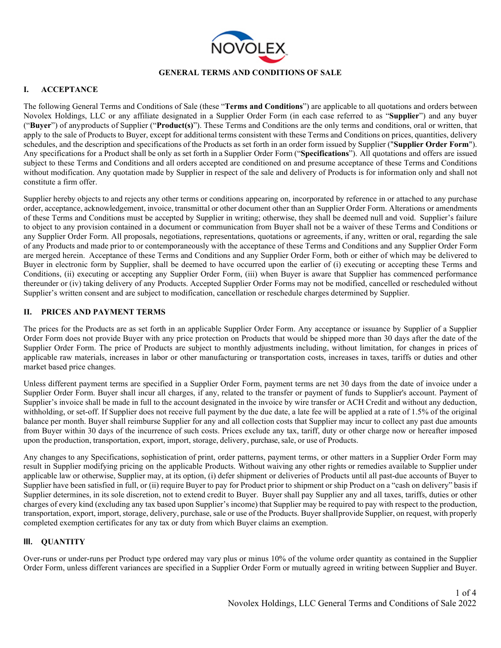

#### **GENERAL TERMS AND CONDITIONS OF SALE**

#### **I. ACCEPTANCE**

The following General Terms and Conditions of Sale (these "**Terms and Conditions**") are applicable to all quotations and orders between Novolex Holdings, LLC or any affiliate designated in a Supplier Order Form (in each case referred to as "**Supplier**") and any buyer ("**Buyer**") of anyproducts of Supplier ("**Product(s)**"). These Terms and Conditions are the only terms and conditions, oral or written, that apply to the sale of Products to Buyer, except for additional terms consistent with these Terms and Conditions on prices, quantities, delivery schedules, and the description and specifications of the Products as set forth in an order form issued by Supplier ("**Supplier Order Form**"). Any specifications for a Product shall be only as set forth in a Supplier Order Form ("**Specifications**"). All quotations and offers are issued subject to these Terms and Conditions and all orders accepted are conditioned on and presume acceptance of these Terms and Conditions without modification. Any quotation made by Supplier in respect of the sale and delivery of Products is for information only and shall not constitute a firm offer.

Supplier hereby objects to and rejects any other terms or conditions appearing on, incorporated by reference in or attached to any purchase order, acceptance, acknowledgement, invoice, transmittal or other document other than an Supplier Order Form. Alterations or amendments of these Terms and Conditions must be accepted by Supplier in writing; otherwise, they shall be deemed null and void. Supplier's failure to object to any provision contained in a document or communication from Buyer shall not be a waiver of these Terms and Conditions or any Supplier Order Form. All proposals, negotiations, representations, quotations or agreements, if any, written or oral, regarding the sale of any Products and made prior to or contemporaneously with the acceptance of these Terms and Conditions and any Supplier Order Form are merged herein. Acceptance of these Terms and Conditions and any Supplier Order Form, both or either of which may be delivered to Buyer in electronic form by Supplier, shall be deemed to have occurred upon the earlier of (i) executing or accepting these Terms and Conditions, (ii) executing or accepting any Supplier Order Form, (iii) when Buyer is aware that Supplier has commenced performance thereunder or (iv) taking delivery of any Products. Accepted Supplier Order Forms may not be modified, cancelled or rescheduled without Supplier's written consent and are subject to modification, cancellation or reschedule charges determined by Supplier.

#### **II. PRICES AND PAYMENT TERMS**

The prices for the Products are as set forth in an applicable Supplier Order Form. Any acceptance or issuance by Supplier of a Supplier Order Form does not provide Buyer with any price protection on Products that would be shipped more than 30 days after the date of the Supplier Order Form. The price of Products are subject to monthly adjustments including, without limitation, for changes in prices of applicable raw materials, increases in labor or other manufacturing or transportation costs, increases in taxes, tariffs or duties and other market based price changes.

Unless different payment terms are specified in a Supplier Order Form, payment terms are net 30 days from the date of invoice under a Supplier Order Form. Buyer shall incur all charges, if any, related to the transfer or payment of funds to Supplier's account. Payment of Supplier's invoice shall be made in full to the account designated in the invoice by wire transfer or ACH Credit and without any deduction, withholding, or set-off. If Supplier does not receive full payment by the due date, a late fee will be applied at a rate of 1.5% of the original balance per month. Buyer shall reimburse Supplier for any and all collection costs that Supplier may incur to collect any past due amounts from Buyer within 30 days of the incurrence of such costs. Prices exclude any tax, tariff, duty or other charge now or hereafter imposed upon the production, transportation, export, import, storage, delivery, purchase, sale, or use of Products.

Any changes to any Specifications, sophistication of print, order patterns, payment terms, or other matters in a Supplier Order Form may result in Supplier modifying pricing on the applicable Products. Without waiving any other rights or remedies available to Supplier under applicable law or otherwise, Supplier may, at its option, (i) defer shipment or deliveries of Products until all past-due accounts of Buyer to Supplier have been satisfied in full, or (ii) require Buyer to pay for Product prior to shipment or ship Product on a "cash on delivery" basis if Supplier determines, in its sole discretion, not to extend credit to Buyer. Buyer shall pay Supplier any and all taxes, tariffs, duties or other charges of every kind (excluding any tax based upon Supplier's income) that Supplier may be required to pay with respect to the production, transportation, export, import, storage, delivery, purchase, sale or use of the Products. Buyer shallprovide Supplier, on request, with properly completed exemption certificates for any tax or duty from which Buyer claims an exemption.

#### **III. QUANTITY**

Over-runs or under-runs per Product type ordered may vary plus or minus 10% of the volume order quantity as contained in the Supplier Order Form, unless different variances are specified in a Supplier Order Form or mutually agreed in writing between Supplier and Buyer.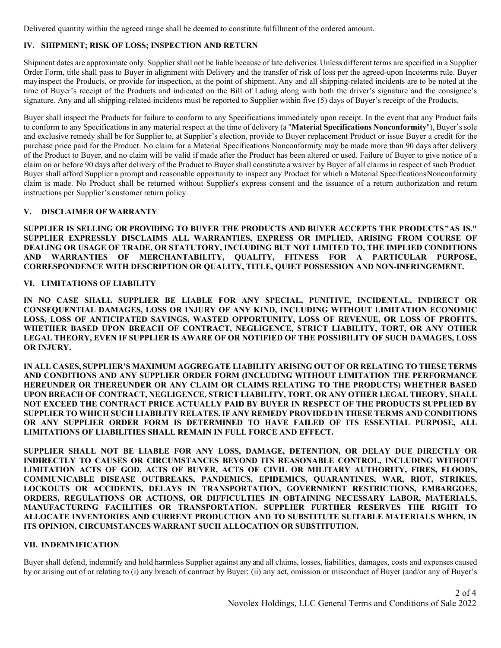Delivered quantity within the agreed range shall be deemed to constitute fulfillment of the ordered amount.

## **IV. SHIPMENT; RISK OF LOSS; INSPECTION AND RETURN**

Shipment dates are approximate only. Supplier shall not be liable because of late deliveries. Unless different terms are specified in a Supplier Order Form, title shall pass to Buyer in alignment with Delivery and the transfer of risk of loss per the agreed-upon Incoterms rule. Buyer mayinspect the Products, or provide for inspection, at the point of shipment. Any and all shipping-related incidents are to be noted at the time of Buyer's receipt of the Products and indicated on the Bill of Lading along with both the driver's signature and the consignee's signature. Any and all shipping-related incidents must be reported to Supplier within five (5) days of Buyer's receipt of the Products.

Buyer shall inspect the Products for failure to conform to any Specifications immediately upon receipt. In the event that any Product fails to conform to any Specifications in any material respect at the time of delivery (a "**Material Specifications Nonconformity**"), Buyer's sole and exclusive remedy shall be for Supplier to, at Supplier's election, provide to Buyer replacement Product or issue Buyer a credit for the purchase price paid for the Product. No claim for a Material Specifications Nonconformity may be made more than 90 days after delivery of the Product to Buyer, and no claim will be valid if made after the Product has been altered or used. Failure of Buyer to give notice of a claim on or before 90 days after delivery of the Product to Buyer shall constitute a waiver by Buyer of all claims in respect of such Product. Buyer shall afford Supplier a prompt and reasonable opportunity to inspect any Product for which a Material SpecificationsNonconformity claim is made. No Product shall be returned without Supplier's express consent and the issuance of a return authorization and return instructions per Supplier's customer return policy.

## **V. DISCLAIMER OF WARRANTY**

**SUPPLIER IS SELLING OR PROVIDING TO BUYER THE PRODUCTS AND BUYER ACCEPTS THE PRODUCTS"AS IS." SUPPLIER EXPRESSLY DISCLAIMS ALL WARRANTIES, EXPRESS OR IMPLIED, ARISING FROM COURSE OF DEALING OR USAGE OF TRADE, OR STATUTORY, INCLUDING BUT NOT LIMITED TO, THE IMPLIED CONDITIONS**  WARRANTIES OF MERCHANTABILITY, QUALITY, FITNESS FOR A PARTICULAR PURPOSE, **CORRESPONDENCE WITH DESCRIPTION OR QUALITY, TITLE, QUIET POSSESSION AND NON-INFRINGEMENT.**

#### **VI. LIMITATIONS OF LIABILITY**

**IN NO CASE SHALL SUPPLIER BE LIABLE FOR ANY SPECIAL, PUNITIVE, INCIDENTAL, INDIRECT OR CONSEQUENTIAL DAMAGES, LOSS OR INJURY OF ANY KIND, INCLUDING WITHOUT LIMITATION ECONOMIC LOSS, LOSS OF ANTICIPATED SAVINGS, WASTED OPPORTUNITY, LOSS OF REVENUE, OR LOSS OF PROFITS, WHETHER BASED UPON BREACH OF CONTRACT, NEGLIGENCE, STRICT LIABILITY, TORT, OR ANY OTHER LEGAL THEORY, EVEN IF SUPPLIER IS AWARE OF OR NOTIFIED OF THE POSSIBILITY OF SUCH DAMAGES, LOSS OR INJURY.**

**IN ALL CASES, SUPPLIER'S MAXIMUM AGGREGATE LIABILITY ARISING OUT OF OR RELATING TO THESE TERMS AND CONDITIONS AND ANY SUPPLIER ORDER FORM (INCLUDING WITHOUT LIMITATION THE PERFORMANCE HEREUNDER OR THEREUNDER OR ANY CLAIM OR CLAIMS RELATING TO THE PRODUCTS) WHETHER BASED UPON BREACH OF CONTRACT, NEGLIGENCE, STRICT LIABILITY, TORT, OR ANY OTHER LEGAL THEORY, SHALL NOT EXCEED THE CONTRACT PRICE ACTUALLY PAID BY BUYER IN RESPECT OF THE PRODUCTS SUPPLIED BY SUPPLIER TO WHICH SUCH LIABILITY RELATES. IF ANY REMEDY PROVIDED IN THESE TERMS AND CONDITIONS OR ANY SUPPLIER ORDER FORM IS DETERMINED TO HAVE FAILED OF ITS ESSENTIAL PURPOSE, ALL LIMITATIONS OF LIABILITIES SHALL REMAIN IN FULL FORCE AND EFFECT.** 

**SUPPLIER SHALL NOT BE LIABLE FOR ANY LOSS, DAMAGE, DETENTION, OR DELAY DUE DIRECTLY OR INDIRECTLY TO CAUSES OR CIRCUMSTANCES BEYOND ITS REASONABLE CONTROL, INCLUDING WITHOUT LIMITATION ACTS OF GOD, ACTS OF BUYER, ACTS OF CIVIL OR MILITARY AUTHORITY, FIRES, FLOODS, COMMUNICABLE DISEASE OUTBREAKS, PANDEMICS, EPIDEMICS, QUARANTINES, WAR, RIOT, STRIKES, LOCKOUTS OR ACCIDENTS, DELAYS IN TRANSPORTATION, GOVERNMENT RESTRICTIONS, EMBARGOES, ORDERS, REGULATIONS OR ACTIONS, OR DIFFICULTIES IN OBTAINING NECESSARY LABOR, MATERIALS, MANUFACTURING FACILITIES OR TRANSPORTATION. SUPPLIER FURTHER RESERVES THE RIGHT TO ALLOCATE INVENTORIES AND CURRENT PRODUCTION AND TO SUBSTITUTE SUITABLE MATERIALS WHEN, IN ITS OPINION, CIRCUMSTANCES WARRANT SUCH ALLOCATION OR SUBSTITUTION.**

#### **VII. INDEMNIFICATION**

Buyer shall defend, indemnify and hold harmless Supplier against any and all claims, losses, liabilities, damages, costs and expenses caused by or arising out of or relating to (i) any breach of contract by Buyer; (ii) any act, omission or misconduct of Buyer (and/or any of Buyer's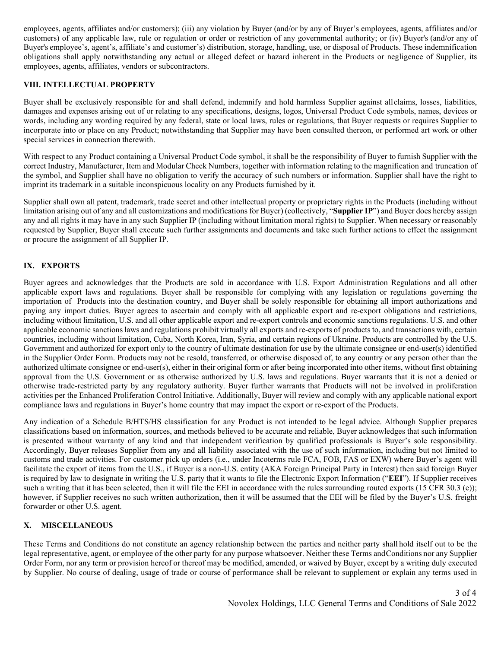employees, agents, affiliates and/or customers); (iii) any violation by Buyer (and/or by any of Buyer's employees, agents, affiliates and/or customers) of any applicable law, rule or regulation or order or restriction of any governmental authority; or (iv) Buyer's (and/or any of Buyer's employee's, agent's, affiliate's and customer's) distribution, storage, handling, use, or disposal of Products. These indemnification obligations shall apply notwithstanding any actual or alleged defect or hazard inherent in the Products or negligence of Supplier, its employees, agents, affiliates, vendors or subcontractors.

# **VIII. INTELLECTUAL PROPERTY**

Buyer shall be exclusively responsible for and shall defend, indemnify and hold harmless Supplier against allclaims, losses, liabilities, damages and expenses arising out of or relating to any specifications, designs, logos, Universal Product Code symbols, names, devices or words, including any wording required by any federal, state or local laws, rules or regulations, that Buyer requests or requires Supplier to incorporate into or place on any Product; notwithstanding that Supplier may have been consulted thereon, or performed art work or other special services in connection therewith.

With respect to any Product containing a Universal Product Code symbol, it shall be the responsibility of Buyer to furnish Supplier with the correct Industry, Manufacturer, Item and Modular Check Numbers, together with information relating to the magnification and truncation of the symbol, and Supplier shall have no obligation to verify the accuracy of such numbers or information. Supplier shall have the right to imprint its trademark in a suitable inconspicuous locality on any Products furnished by it.

Supplier shall own all patent, trademark, trade secret and other intellectual property or proprietary rights in the Products (including without limitation arising out of any and all customizations and modifications for Buyer) (collectively, "**Supplier IP**") and Buyer does hereby assign any and all rights it may have in any such Supplier IP (including without limitation moral rights) to Supplier. When necessary or reasonably requested by Supplier, Buyer shall execute such further assignments and documents and take such further actions to effect the assignment or procure the assignment of all Supplier IP.

# **IX. EXPORTS**

Buyer agrees and acknowledges that the Products are sold in accordance with U.S. Export Administration Regulations and all other applicable export laws and regulations. Buyer shall be responsible for complying with any legislation or regulations governing the importation of Products into the destination country, and Buyer shall be solely responsible for obtaining all import authorizations and paying any import duties. Buyer agrees to ascertain and comply with all applicable export and re-export obligations and restrictions, including without limitation, U.S. and all other applicable export and re-export controls and economic sanctions regulations. U.S. and other applicable economic sanctions laws and regulations prohibit virtually all exports and re-exports of products to, and transactions with, certain countries, including without limitation, Cuba, North Korea, Iran, Syria, and certain regions of Ukraine. Products are controlled by the U.S. Government and authorized for export only to the country of ultimate destination for use by the ultimate consignee or end-user(s) identified in the Supplier Order Form. Products may not be resold, transferred, or otherwise disposed of, to any country or any person other than the authorized ultimate consignee or end-user(s), either in their original form or after being incorporated into other items, without first obtaining approval from the U.S. Government or as otherwise authorized by U.S. laws and regulations. Buyer warrants that it is not a denied or otherwise trade-restricted party by any regulatory authority. Buyer further warrants that Products will not be involved in proliferation activities per the Enhanced Proliferation Control Initiative. Additionally, Buyer will review and comply with any applicable national export compliance laws and regulations in Buyer's home country that may impact the export or re-export of the Products.

Any indication of a Schedule B/HTS/HS classification for any Product is not intended to be legal advice. Although Supplier prepares classifications based on information, sources, and methods believed to be accurate and reliable, Buyer acknowledges that such information is presented without warranty of any kind and that independent verification by qualified professionals is Buyer's sole responsibility. Accordingly, Buyer releases Supplier from any and all liability associated with the use of such information, including but not limited to customs and trade activities. For customer pick up orders (i.e., under Incoterms rule FCA, FOB, FAS or EXW) where Buyer's agent will facilitate the export of items from the U.S., if Buyer is a non-U.S. entity (AKA Foreign Principal Party in Interest) then said foreign Buyer is required by law to designate in writing the U.S. party that it wants to file the Electronic Export Information ("**EEI**"). If Supplier receives such a writing that it has been selected, then it will file the EEI in accordance with the rules surrounding routed exports (15 CFR 30.3 (e)); however, if Supplier receives no such written authorization, then it will be assumed that the EEI will be filed by the Buyer's U.S. freight forwarder or other U.S. agent.

# **X. MISCELLANEOUS**

These Terms and Conditions do not constitute an agency relationship between the parties and neither party shall hold itself out to be the legal representative, agent, or employee of the other party for any purpose whatsoever. Neither these Terms andConditions nor any Supplier Order Form, nor any term or provision hereof or thereof may be modified, amended, or waived by Buyer, except by a writing duly executed by Supplier. No course of dealing, usage of trade or course of performance shall be relevant to supplement or explain any terms used in